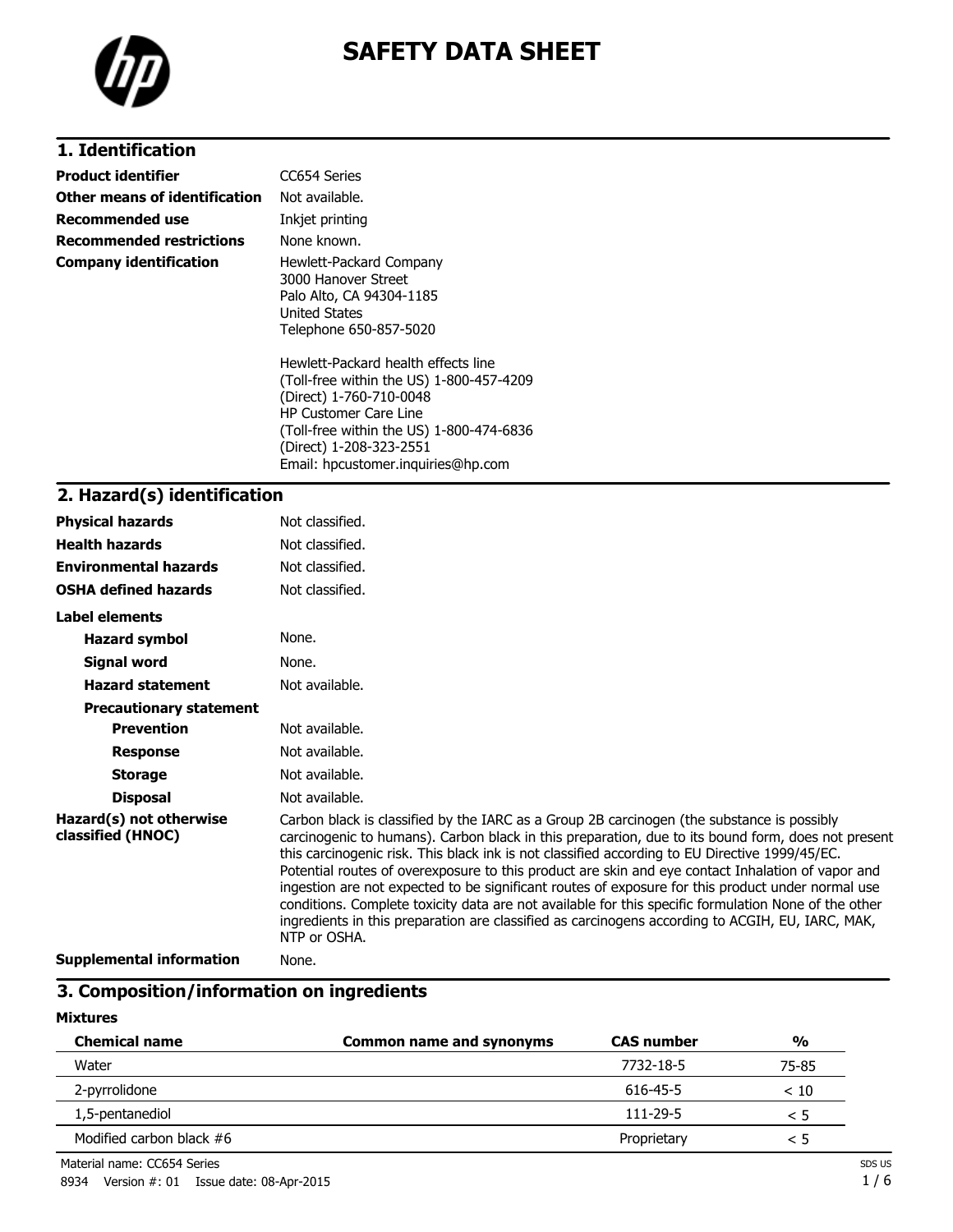

# **SAFETY DATA SHEET**

## **1. Identification**

| <b>Product identifier</b>     | CC654 Series                                                                                                                                                                                                      |
|-------------------------------|-------------------------------------------------------------------------------------------------------------------------------------------------------------------------------------------------------------------|
| Other means of identification | Not available.                                                                                                                                                                                                    |
| Recommended use               | Inkjet printing                                                                                                                                                                                                   |
| Recommended restrictions      | None known.                                                                                                                                                                                                       |
| Company identification        | Hewlett-Packard Company<br>3000 Hanover Street<br>Palo Alto, CA 94304-1185<br><b>United States</b><br>Telephone 650-857-5020                                                                                      |
|                               | Hewlett-Packard health effects line<br>(Toll-free within the US) 1-800-457-4209<br>(Direct) 1-760-710-0048<br><b>HP Customer Care Line</b><br>(Toll-free within the US) 1-800-474-6836<br>(Direct) 1-208-323-2551 |

Email: hpcustomer.inquiries@hp.com

### **2. Hazard(s) identification**

| <b>Physical hazards</b>                      | Not classified.                                                                                                                                                                                                                                                                                                                                                                                                                                                                                                                                                                                                                                                                                                                          |
|----------------------------------------------|------------------------------------------------------------------------------------------------------------------------------------------------------------------------------------------------------------------------------------------------------------------------------------------------------------------------------------------------------------------------------------------------------------------------------------------------------------------------------------------------------------------------------------------------------------------------------------------------------------------------------------------------------------------------------------------------------------------------------------------|
| <b>Health hazards</b>                        | Not classified.                                                                                                                                                                                                                                                                                                                                                                                                                                                                                                                                                                                                                                                                                                                          |
| <b>Environmental hazards</b>                 | Not classified.                                                                                                                                                                                                                                                                                                                                                                                                                                                                                                                                                                                                                                                                                                                          |
| <b>OSHA defined hazards</b>                  | Not classified.                                                                                                                                                                                                                                                                                                                                                                                                                                                                                                                                                                                                                                                                                                                          |
| Label elements                               |                                                                                                                                                                                                                                                                                                                                                                                                                                                                                                                                                                                                                                                                                                                                          |
| <b>Hazard symbol</b>                         | None.                                                                                                                                                                                                                                                                                                                                                                                                                                                                                                                                                                                                                                                                                                                                    |
| Signal word                                  | None.                                                                                                                                                                                                                                                                                                                                                                                                                                                                                                                                                                                                                                                                                                                                    |
| <b>Hazard statement</b>                      | Not available.                                                                                                                                                                                                                                                                                                                                                                                                                                                                                                                                                                                                                                                                                                                           |
| <b>Precautionary statement</b>               |                                                                                                                                                                                                                                                                                                                                                                                                                                                                                                                                                                                                                                                                                                                                          |
| <b>Prevention</b>                            | Not available.                                                                                                                                                                                                                                                                                                                                                                                                                                                                                                                                                                                                                                                                                                                           |
| <b>Response</b>                              | Not available.                                                                                                                                                                                                                                                                                                                                                                                                                                                                                                                                                                                                                                                                                                                           |
| <b>Storage</b>                               | Not available.                                                                                                                                                                                                                                                                                                                                                                                                                                                                                                                                                                                                                                                                                                                           |
| <b>Disposal</b>                              | Not available.                                                                                                                                                                                                                                                                                                                                                                                                                                                                                                                                                                                                                                                                                                                           |
| Hazard(s) not otherwise<br>classified (HNOC) | Carbon black is classified by the IARC as a Group 2B carcinogen (the substance is possibly<br>carcinogenic to humans). Carbon black in this preparation, due to its bound form, does not present<br>this carcinogenic risk. This black ink is not classified according to EU Directive 1999/45/EC.<br>Potential routes of overexposure to this product are skin and eye contact Inhalation of vapor and<br>ingestion are not expected to be significant routes of exposure for this product under normal use<br>conditions. Complete toxicity data are not available for this specific formulation None of the other<br>ingredients in this preparation are classified as carcinogens according to ACGIH, EU, IARC, MAK,<br>NTP or OSHA. |
| Cunnlamantal information                     | <b>Nono</b>                                                                                                                                                                                                                                                                                                                                                                                                                                                                                                                                                                                                                                                                                                                              |

**Supplemental information** None.

### **3. Composition/information on ingredients**

#### **Mixtures**

| <b>Chemical name</b>       | <b>Common name and synonyms</b> | <b>CAS number</b> | $\frac{0}{0}$ |
|----------------------------|---------------------------------|-------------------|---------------|
| Water                      |                                 | 7732-18-5         | 75-85         |
| 2-pyrrolidone              |                                 | 616-45-5          | < 10          |
| 1,5-pentanediol            |                                 | $111 - 29 - 5$    | < 5           |
| Modified carbon black $#6$ |                                 | Proprietary       | < 5           |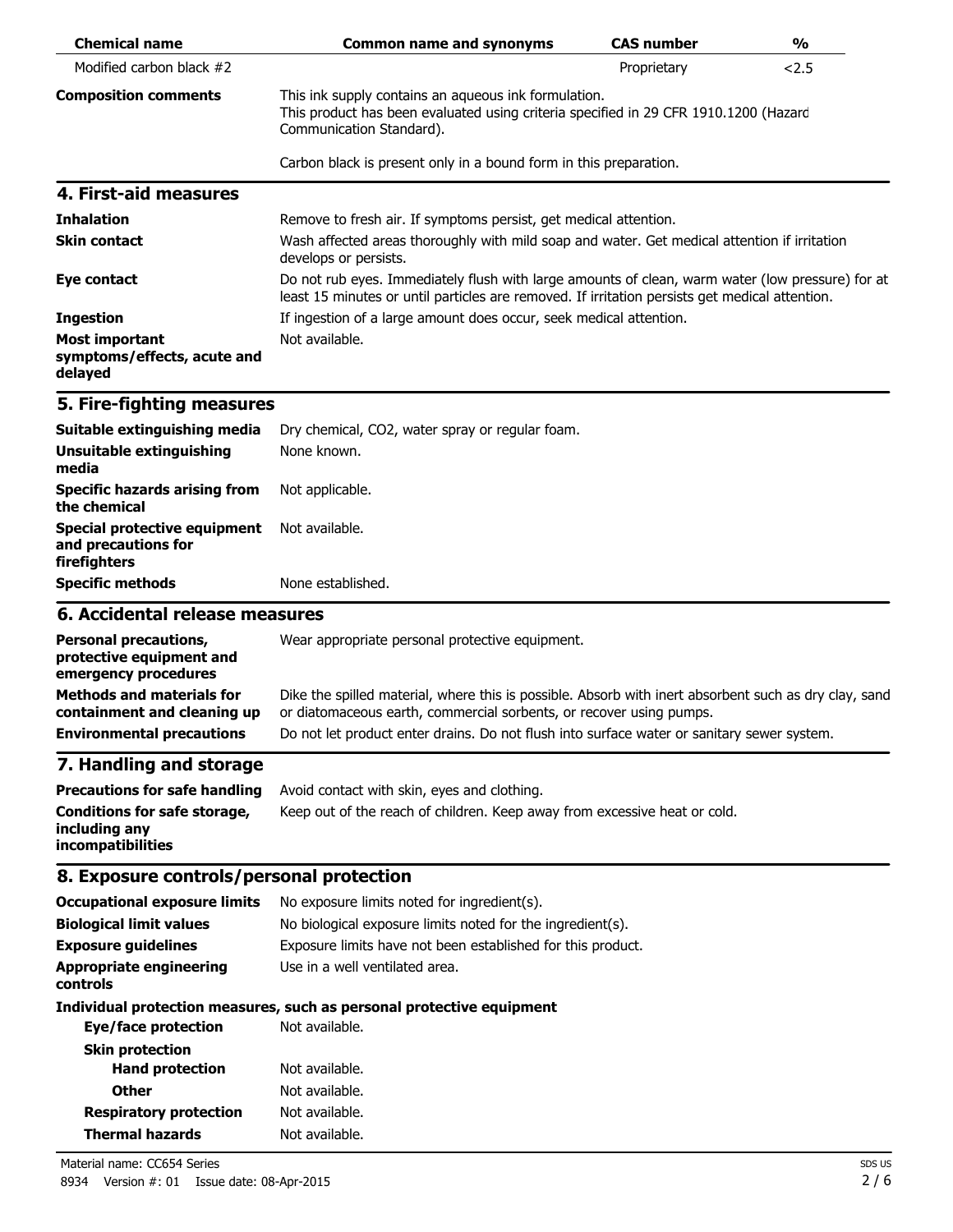| <b>Chemical name</b>                                                                                | <b>Common name and synonyms</b>                                                                                                                                                                                                                                            | <b>CAS number</b> | $\frac{0}{0}$ |
|-----------------------------------------------------------------------------------------------------|----------------------------------------------------------------------------------------------------------------------------------------------------------------------------------------------------------------------------------------------------------------------------|-------------------|---------------|
| Modified carbon black #2                                                                            |                                                                                                                                                                                                                                                                            | Proprietary       | 2.5           |
| <b>Composition comments</b>                                                                         | This ink supply contains an aqueous ink formulation.<br>This product has been evaluated using criteria specified in 29 CFR 1910.1200 (Hazard<br>Communication Standard).                                                                                                   |                   |               |
|                                                                                                     | Carbon black is present only in a bound form in this preparation.                                                                                                                                                                                                          |                   |               |
| 4. First-aid measures                                                                               |                                                                                                                                                                                                                                                                            |                   |               |
| <b>Inhalation</b>                                                                                   | Remove to fresh air. If symptoms persist, get medical attention.                                                                                                                                                                                                           |                   |               |
| <b>Skin contact</b>                                                                                 | Wash affected areas thoroughly with mild soap and water. Get medical attention if irritation<br>develops or persists.                                                                                                                                                      |                   |               |
| Eye contact                                                                                         | Do not rub eyes. Immediately flush with large amounts of clean, warm water (low pressure) for at<br>least 15 minutes or until particles are removed. If irritation persists get medical attention.                                                                         |                   |               |
| <b>Ingestion</b>                                                                                    | If ingestion of a large amount does occur, seek medical attention.                                                                                                                                                                                                         |                   |               |
| <b>Most important</b><br>symptoms/effects, acute and<br>delayed                                     | Not available.                                                                                                                                                                                                                                                             |                   |               |
| 5. Fire-fighting measures                                                                           |                                                                                                                                                                                                                                                                            |                   |               |
| Suitable extinguishing media                                                                        | Dry chemical, CO2, water spray or regular foam.                                                                                                                                                                                                                            |                   |               |
| Unsuitable extinguishing<br>media                                                                   | None known.                                                                                                                                                                                                                                                                |                   |               |
| <b>Specific hazards arising from</b><br>the chemical                                                | Not applicable.                                                                                                                                                                                                                                                            |                   |               |
| <b>Special protective equipment</b><br>and precautions for<br>firefighters                          | Not available.                                                                                                                                                                                                                                                             |                   |               |
| <b>Specific methods</b>                                                                             | None established.                                                                                                                                                                                                                                                          |                   |               |
| 6. Accidental release measures                                                                      |                                                                                                                                                                                                                                                                            |                   |               |
| <b>Personal precautions,</b><br>protective equipment and<br>emergency procedures                    | Wear appropriate personal protective equipment.                                                                                                                                                                                                                            |                   |               |
| <b>Methods and materials for</b><br>containment and cleaning up<br><b>Environmental precautions</b> | Dike the spilled material, where this is possible. Absorb with inert absorbent such as dry clay, sand<br>or diatomaceous earth, commercial sorbents, or recover using pumps.<br>Do not let product enter drains. Do not flush into surface water or sanitary sewer system. |                   |               |
| 7. Handling and storage                                                                             |                                                                                                                                                                                                                                                                            |                   |               |
| <b>Precautions for safe handling</b>                                                                | Avoid contact with skin, eyes and clothing.                                                                                                                                                                                                                                |                   |               |
| <b>Conditions for safe storage,</b><br>including any<br>incompatibilities                           | Keep out of the reach of children. Keep away from excessive heat or cold.                                                                                                                                                                                                  |                   |               |
| 8. Exposure controls/personal protection                                                            |                                                                                                                                                                                                                                                                            |                   |               |
| <b>Occupational exposure limits</b>                                                                 | No exposure limits noted for ingredient(s).                                                                                                                                                                                                                                |                   |               |
| <b>Biological limit values</b>                                                                      | No biological exposure limits noted for the ingredient(s).                                                                                                                                                                                                                 |                   |               |
| <b>Exposure guidelines</b>                                                                          | Exposure limits have not been established for this product.                                                                                                                                                                                                                |                   |               |
| <b>Appropriate engineering</b><br>controls                                                          | Use in a well ventilated area.                                                                                                                                                                                                                                             |                   |               |
| <b>Eye/face protection</b>                                                                          | Individual protection measures, such as personal protective equipment<br>Not available.                                                                                                                                                                                    |                   |               |
| <b>Skin protection</b>                                                                              |                                                                                                                                                                                                                                                                            |                   |               |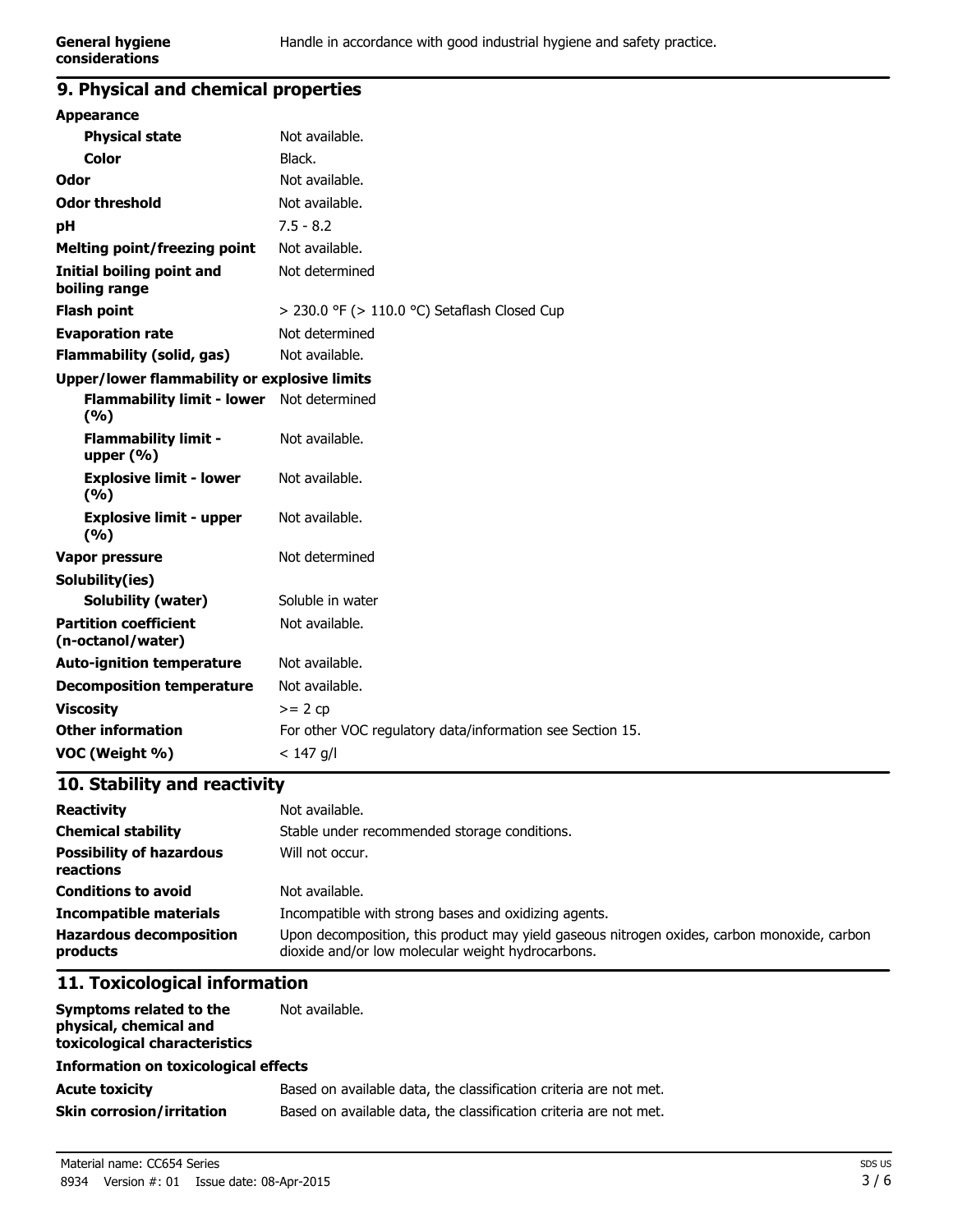### **9. Physical and chemical properties**

| <b>Appearance</b>                                 |                                                           |
|---------------------------------------------------|-----------------------------------------------------------|
| <b>Physical state</b>                             | Not available.                                            |
| <b>Color</b>                                      | Black.                                                    |
| Odor                                              | Not available.                                            |
| <b>Odor threshold</b>                             | Not available.                                            |
| рH                                                | $7.5 - 8.2$                                               |
| <b>Melting point/freezing point</b>               | Not available.                                            |
| <b>Initial boiling point and</b><br>boiling range | Not determined                                            |
| <b>Flash point</b>                                | $>$ 230.0 °F ( $>$ 110.0 °C) Setaflash Closed Cup         |
| <b>Evaporation rate</b>                           | Not determined                                            |
| <b>Flammability (solid, gas)</b>                  | Not available.                                            |
| Upper/lower flammability or explosive limits      |                                                           |
| <b>Flammability limit - lower</b><br>(%)          | Not determined                                            |
| <b>Flammability limit -</b><br>upper $(\% )$      | Not available.                                            |
| <b>Explosive limit - lower</b><br>(%)             | Not available.                                            |
| <b>Explosive limit - upper</b><br>(%)             | Not available.                                            |
| <b>Vapor pressure</b>                             | Not determined                                            |
| Solubility(ies)                                   |                                                           |
| <b>Solubility (water)</b>                         | Soluble in water                                          |
| <b>Partition coefficient</b><br>(n-octanol/water) | Not available.                                            |
| <b>Auto-ignition temperature</b>                  | Not available.                                            |
| <b>Decomposition temperature</b>                  | Not available.                                            |
| <b>Viscosity</b>                                  | $>= 2 cp$                                                 |
| <b>Other information</b>                          | For other VOC regulatory data/information see Section 15. |
| VOC (Weight %)                                    | $< 147$ g/l                                               |
|                                                   |                                                           |

## **10. Stability and reactivity**

| <b>Reactivity</b>                            | Not available.                                                                                                                                   |
|----------------------------------------------|--------------------------------------------------------------------------------------------------------------------------------------------------|
| <b>Chemical stability</b>                    | Stable under recommended storage conditions.                                                                                                     |
| <b>Possibility of hazardous</b><br>reactions | Will not occur.                                                                                                                                  |
| <b>Conditions to avoid</b>                   | Not available.                                                                                                                                   |
| <b>Incompatible materials</b>                | Incompatible with strong bases and oxidizing agents.                                                                                             |
| <b>Hazardous decomposition</b><br>products   | Upon decomposition, this product may yield gaseous nitrogen oxides, carbon monoxide, carbon<br>dioxide and/or low molecular weight hydrocarbons. |

# **11. Toxicological information**

| Symptoms related to the<br>physical, chemical and<br>toxicological characteristics | Not available.                                                    |
|------------------------------------------------------------------------------------|-------------------------------------------------------------------|
| <b>Information on toxicological effects</b>                                        |                                                                   |
| <b>Acute toxicity</b>                                                              | Based on available data, the classification criteria are not met. |
| <b>Skin corrosion/irritation</b>                                                   | Based on available data, the classification criteria are not met. |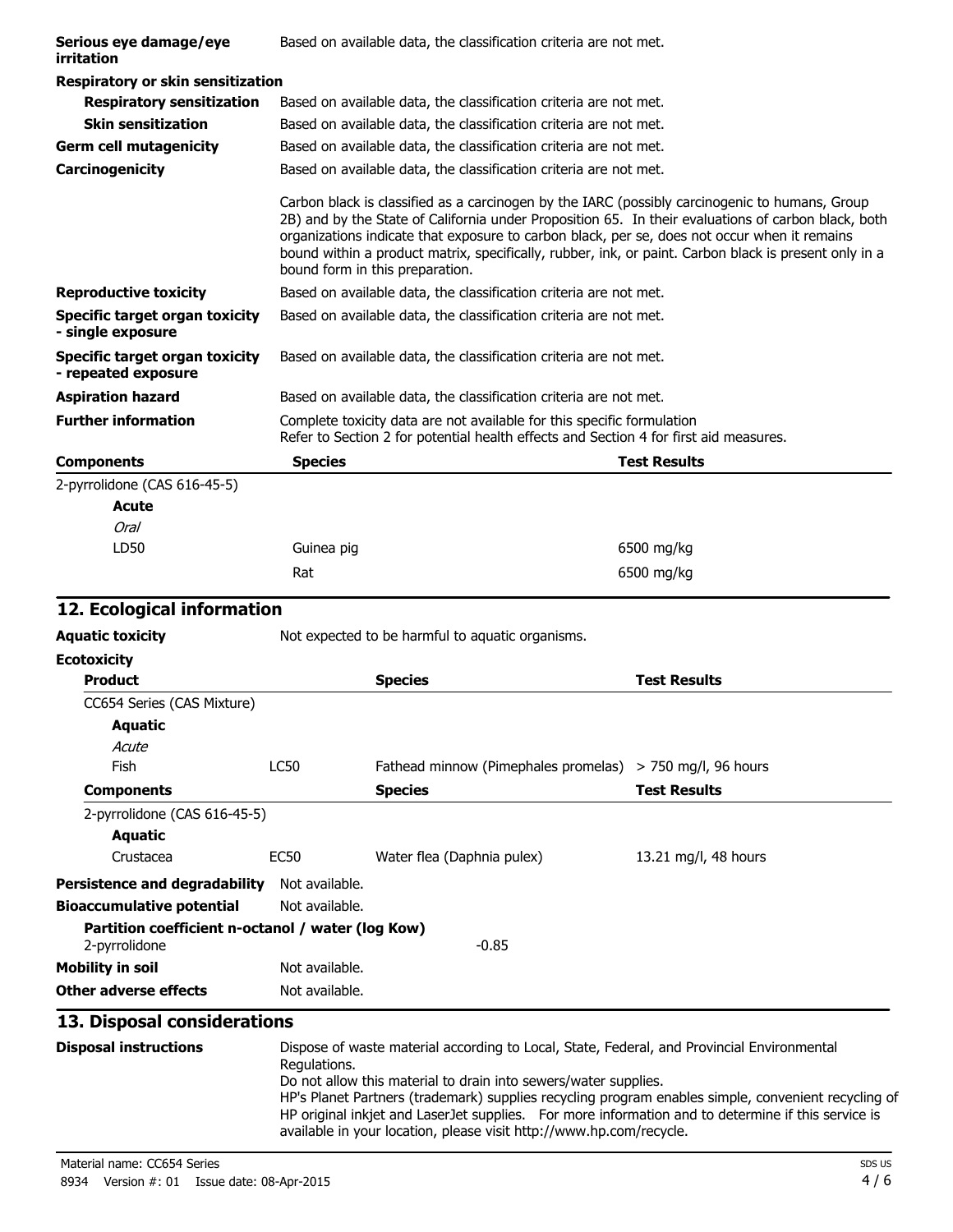| Serious eye damage/eye<br>irritation                  | Based on available data, the classification criteria are not met. |                                                                                                                                                                                                                                                                                                                                                                                                                |  |
|-------------------------------------------------------|-------------------------------------------------------------------|----------------------------------------------------------------------------------------------------------------------------------------------------------------------------------------------------------------------------------------------------------------------------------------------------------------------------------------------------------------------------------------------------------------|--|
| <b>Respiratory or skin sensitization</b>              |                                                                   |                                                                                                                                                                                                                                                                                                                                                                                                                |  |
| <b>Respiratory sensitization</b>                      |                                                                   | Based on available data, the classification criteria are not met.                                                                                                                                                                                                                                                                                                                                              |  |
| <b>Skin sensitization</b>                             |                                                                   | Based on available data, the classification criteria are not met.                                                                                                                                                                                                                                                                                                                                              |  |
| <b>Germ cell mutagenicity</b>                         |                                                                   | Based on available data, the classification criteria are not met.                                                                                                                                                                                                                                                                                                                                              |  |
| Carcinogenicity                                       |                                                                   | Based on available data, the classification criteria are not met.                                                                                                                                                                                                                                                                                                                                              |  |
|                                                       | bound form in this preparation.                                   | Carbon black is classified as a carcinogen by the IARC (possibly carcinogenic to humans, Group<br>2B) and by the State of California under Proposition 65. In their evaluations of carbon black, both<br>organizations indicate that exposure to carbon black, per se, does not occur when it remains<br>bound within a product matrix, specifically, rubber, ink, or paint. Carbon black is present only in a |  |
| <b>Reproductive toxicity</b>                          |                                                                   | Based on available data, the classification criteria are not met.                                                                                                                                                                                                                                                                                                                                              |  |
| Specific target organ toxicity<br>- single exposure   |                                                                   | Based on available data, the classification criteria are not met.                                                                                                                                                                                                                                                                                                                                              |  |
| Specific target organ toxicity<br>- repeated exposure |                                                                   | Based on available data, the classification criteria are not met.                                                                                                                                                                                                                                                                                                                                              |  |
| <b>Aspiration hazard</b>                              |                                                                   | Based on available data, the classification criteria are not met.                                                                                                                                                                                                                                                                                                                                              |  |
| <b>Further information</b>                            |                                                                   | Complete toxicity data are not available for this specific formulation<br>Refer to Section 2 for potential health effects and Section 4 for first aid measures.                                                                                                                                                                                                                                                |  |
| <b>Components</b>                                     | <b>Species</b>                                                    | <b>Test Results</b>                                                                                                                                                                                                                                                                                                                                                                                            |  |
| 2-pyrrolidone (CAS 616-45-5)                          |                                                                   |                                                                                                                                                                                                                                                                                                                                                                                                                |  |
| Acute                                                 |                                                                   |                                                                                                                                                                                                                                                                                                                                                                                                                |  |
| Oral                                                  |                                                                   |                                                                                                                                                                                                                                                                                                                                                                                                                |  |
| LD50                                                  | Guinea pig                                                        | 6500 mg/kg                                                                                                                                                                                                                                                                                                                                                                                                     |  |

## **12. Ecological information**

| Aquatic toxicity | Not expected to be harmful to aquatic organisms. |  |
|------------------|--------------------------------------------------|--|
|                  |                                                  |  |

| <b>Ecotoxicity</b>                                                 |                |                                      |                        |
|--------------------------------------------------------------------|----------------|--------------------------------------|------------------------|
| <b>Product</b>                                                     |                | <b>Species</b>                       | <b>Test Results</b>    |
| CC654 Series (CAS Mixture)                                         |                |                                      |                        |
| <b>Aquatic</b>                                                     |                |                                      |                        |
| Acute                                                              |                |                                      |                        |
| Fish                                                               | LC50           | Fathead minnow (Pimephales promelas) | $>$ 750 mg/l, 96 hours |
| <b>Components</b>                                                  |                | <b>Species</b>                       | <b>Test Results</b>    |
| 2-pyrrolidone (CAS 616-45-5)                                       |                |                                      |                        |
| Aquatic                                                            |                |                                      |                        |
| Crustacea                                                          | EC50           | Water flea (Daphnia pulex)           | 13.21 mg/l, 48 hours   |
| Persistence and degradability                                      | Not available. |                                      |                        |
| <b>Bioaccumulative potential</b>                                   | Not available. |                                      |                        |
| Partition coefficient n-octanol / water (log Kow)<br>2-pyrrolidone |                | $-0.85$                              |                        |
| <b>Mobility in soil</b>                                            | Not available. |                                      |                        |
| Other adverse effects                                              | Not available. |                                      |                        |

Rat 6500 mg/kg

# **13. Disposal considerations**

| <b>Disposal instructions</b> | Dispose of waste material according to Local, State, Federal, and Provincial Environmental<br>Regulations.                                                                 |
|------------------------------|----------------------------------------------------------------------------------------------------------------------------------------------------------------------------|
|                              | Do not allow this material to drain into sewers/water supplies.                                                                                                            |
|                              | HP's Planet Partners (trademark) supplies recycling program enables simple, convenient recycling of                                                                        |
|                              | HP original inkjet and Laser Jet supplies. For more information and to determine if this service is<br>available in your location, please visit http://www.hp.com/recycle. |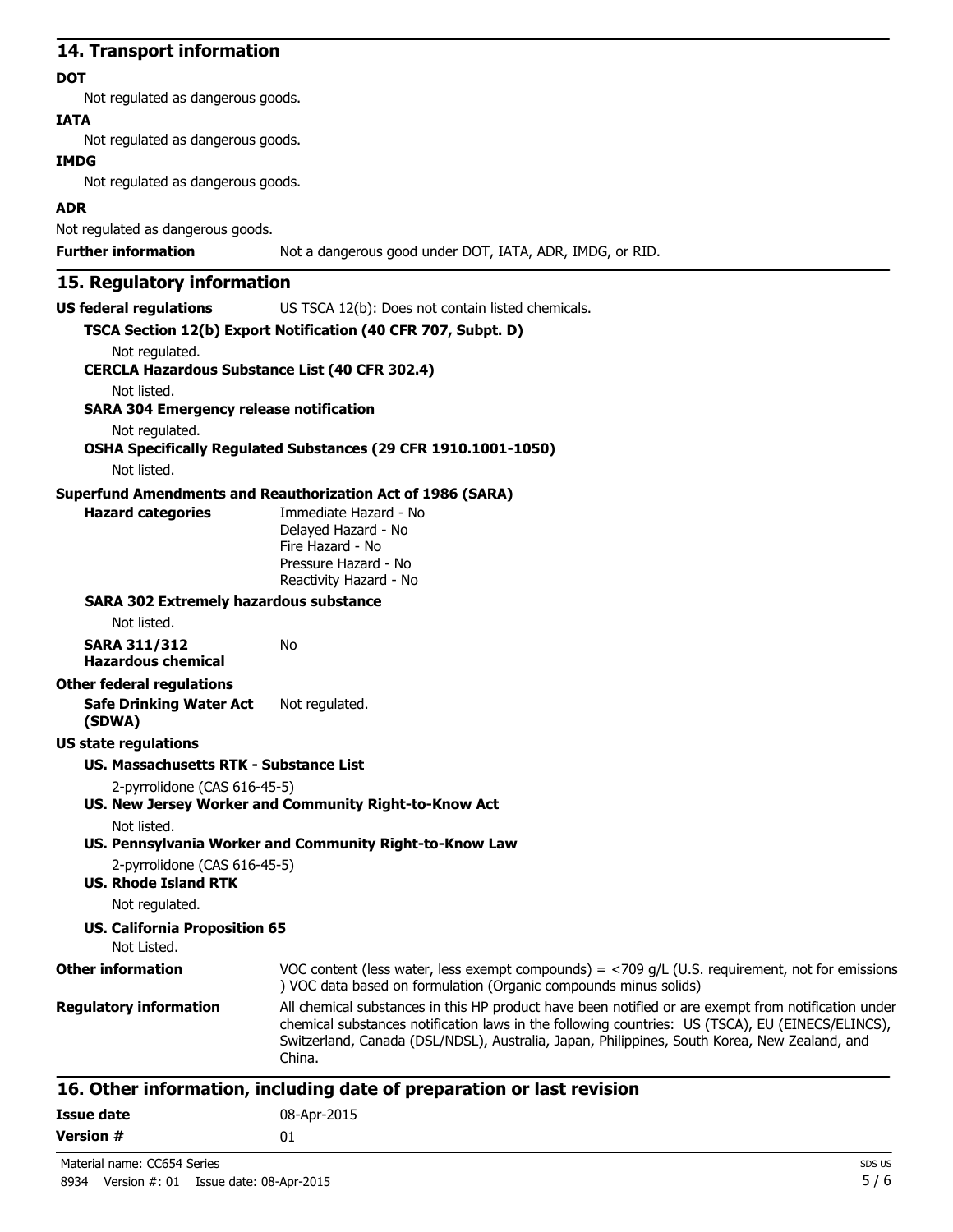### **14. Transport information**

#### **DOT**

Not regulated as dangerous goods.

### **IATA**

Not regulated as dangerous goods.

#### **IMDG**

Not regulated as dangerous goods.

### **ADR**

Not regulated as dangerous goods.

**Further information** Not a dangerous good under DOT, IATA, ADR, IMDG, or RID.

## **15. Regulatory information**

**US federal regulations** US TSCA 12(b): Does not contain listed chemicals.

|                                                             | TSCA Section 12(b) Export Notification (40 CFR 707, Subpt. D)                                                                                                                                                                                                                                                     |
|-------------------------------------------------------------|-------------------------------------------------------------------------------------------------------------------------------------------------------------------------------------------------------------------------------------------------------------------------------------------------------------------|
| Not regulated.                                              |                                                                                                                                                                                                                                                                                                                   |
| <b>CERCLA Hazardous Substance List (40 CFR 302.4)</b>       |                                                                                                                                                                                                                                                                                                                   |
| Not listed.                                                 |                                                                                                                                                                                                                                                                                                                   |
| <b>SARA 304 Emergency release notification</b>              |                                                                                                                                                                                                                                                                                                                   |
| Not regulated.                                              | OSHA Specifically Regulated Substances (29 CFR 1910.1001-1050)                                                                                                                                                                                                                                                    |
| Not listed.                                                 |                                                                                                                                                                                                                                                                                                                   |
|                                                             | <b>Superfund Amendments and Reauthorization Act of 1986 (SARA)</b>                                                                                                                                                                                                                                                |
| <b>Hazard categories</b>                                    | Immediate Hazard - No                                                                                                                                                                                                                                                                                             |
|                                                             | Delayed Hazard - No<br>Fire Hazard - No                                                                                                                                                                                                                                                                           |
|                                                             | Pressure Hazard - No                                                                                                                                                                                                                                                                                              |
|                                                             | Reactivity Hazard - No                                                                                                                                                                                                                                                                                            |
| <b>SARA 302 Extremely hazardous substance</b>               |                                                                                                                                                                                                                                                                                                                   |
| Not listed.                                                 |                                                                                                                                                                                                                                                                                                                   |
| <b>SARA 311/312</b>                                         | No                                                                                                                                                                                                                                                                                                                |
| <b>Hazardous chemical</b>                                   |                                                                                                                                                                                                                                                                                                                   |
| <b>Other federal regulations</b>                            |                                                                                                                                                                                                                                                                                                                   |
| <b>Safe Drinking Water Act</b><br>(SDWA)                    | Not regulated.                                                                                                                                                                                                                                                                                                    |
| <b>US state regulations</b>                                 |                                                                                                                                                                                                                                                                                                                   |
| <b>US. Massachusetts RTK - Substance List</b>               |                                                                                                                                                                                                                                                                                                                   |
| 2-pyrrolidone (CAS 616-45-5)                                |                                                                                                                                                                                                                                                                                                                   |
|                                                             | US. New Jersey Worker and Community Right-to-Know Act                                                                                                                                                                                                                                                             |
| Not listed.                                                 |                                                                                                                                                                                                                                                                                                                   |
|                                                             | US. Pennsylvania Worker and Community Right-to-Know Law                                                                                                                                                                                                                                                           |
| 2-pyrrolidone (CAS 616-45-5)<br><b>US. Rhode Island RTK</b> |                                                                                                                                                                                                                                                                                                                   |
| Not regulated.                                              |                                                                                                                                                                                                                                                                                                                   |
| <b>US. California Proposition 65</b><br>Not Listed.         |                                                                                                                                                                                                                                                                                                                   |
| <b>Other information</b>                                    |                                                                                                                                                                                                                                                                                                                   |
|                                                             | VOC content (less water, less exempt compounds) = $<$ 709 g/L (U.S. requirement, not for emissions<br>) VOC data based on formulation (Organic compounds minus solids)                                                                                                                                            |
| <b>Regulatory information</b>                               | All chemical substances in this HP product have been notified or are exempt from notification under<br>chemical substances notification laws in the following countries: US (TSCA), EU (EINECS/ELINCS),<br>Switzerland, Canada (DSL/NDSL), Australia, Japan, Philippines, South Korea, New Zealand, and<br>China. |

| Issue date       | 08-Apr-2015 |
|------------------|-------------|
| <b>Version #</b> | 01          |